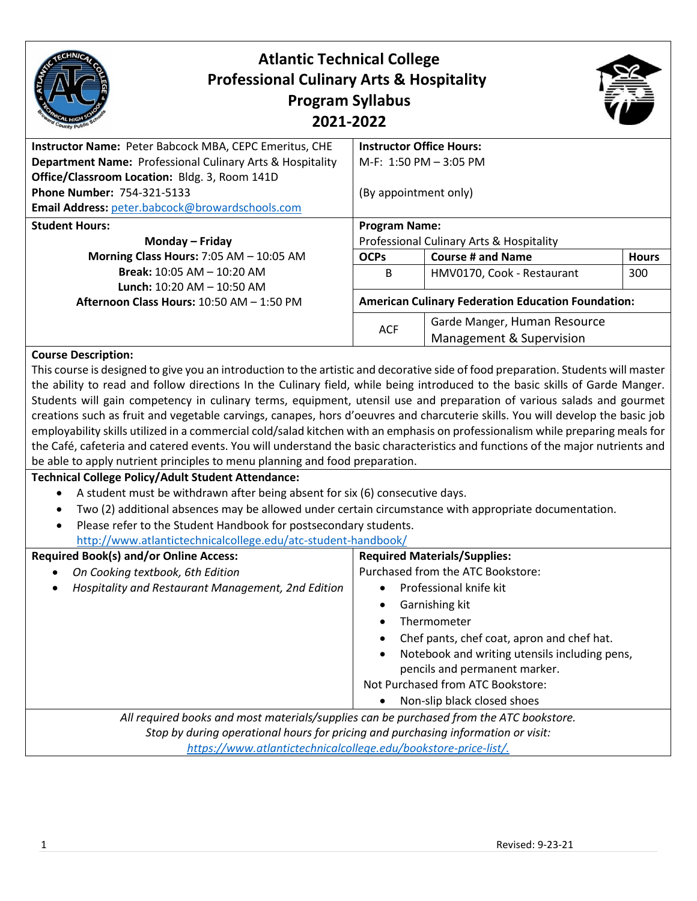| <b>Atlantic Technical College</b><br><b>Professional Culinary Arts &amp; Hospitality</b>                                                                                                                                                                                                        | <b>Program Syllabus</b><br>2021-2022     |                                                           |              |  |
|-------------------------------------------------------------------------------------------------------------------------------------------------------------------------------------------------------------------------------------------------------------------------------------------------|------------------------------------------|-----------------------------------------------------------|--------------|--|
| Instructor Name: Peter Babcock MBA, CEPC Emeritus, CHE                                                                                                                                                                                                                                          |                                          | <b>Instructor Office Hours:</b>                           |              |  |
| Department Name: Professional Culinary Arts & Hospitality                                                                                                                                                                                                                                       |                                          | M-F: $1:50$ PM $-3:05$ PM                                 |              |  |
| Office/Classroom Location: Bldg. 3, Room 141D                                                                                                                                                                                                                                                   |                                          |                                                           |              |  |
| <b>Phone Number: 754-321-5133</b>                                                                                                                                                                                                                                                               | (By appointment only)                    |                                                           |              |  |
| Email Address: peter.babcock@browardschools.com                                                                                                                                                                                                                                                 |                                          |                                                           |              |  |
| <b>Student Hours:</b>                                                                                                                                                                                                                                                                           | <b>Program Name:</b>                     |                                                           |              |  |
| Monday - Friday                                                                                                                                                                                                                                                                                 | Professional Culinary Arts & Hospitality |                                                           |              |  |
| Morning Class Hours: 7:05 AM - 10:05 AM                                                                                                                                                                                                                                                         | <b>OCPs</b>                              | <b>Course # and Name</b>                                  | <b>Hours</b> |  |
| <b>Break: 10:05 AM - 10:20 AM</b><br><b>Lunch:</b> 10:20 AM $-$ 10:50 AM                                                                                                                                                                                                                        | B                                        | HMV0170, Cook - Restaurant                                | 300          |  |
| Afternoon Class Hours: 10:50 AM - 1:50 PM                                                                                                                                                                                                                                                       |                                          | <b>American Culinary Federation Education Foundation:</b> |              |  |
|                                                                                                                                                                                                                                                                                                 |                                          | Garde Manger, Human Resource                              |              |  |
|                                                                                                                                                                                                                                                                                                 | <b>ACF</b>                               | Management & Supervision                                  |              |  |
| <b>Course Description:</b><br>This course is designed to give you an introduction to the artistic and decorative side of food preparation. Students will master<br>the ability to read and follow directions In the Culinary field, while being introduced to the basic skills of Garde Manger. |                                          |                                                           |              |  |

and follow directions In the Culinary field, while being introduced to the basic skills of Garde Manger. Students will gain competency in culinary terms, equipment, utensil use and preparation of various salads and gourmet creations such as fruit and vegetable carvings, canapes, hors d'oeuvres and charcuterie skills. You will develop the basic job employability skills utilized in a commercial cold/salad kitchen with an emphasis on professionalism while preparing meals for the Café, cafeteria and catered events. You will understand the basic characteristics and functions of the major nutrients and be able to apply nutrient principles to menu planning and food preparation.

#### **Technical College Policy/Adult Student Attendance:**

- A student must be withdrawn after being absent for six (6) consecutive days.
- Two (2) additional absences may be allowed under certain circumstance with appropriate documentation.
- Please refer to the Student Handbook for postsecondary students. <http://www.atlantictechnicalcollege.edu/atc-student-handbook/>

| <b>Required Book(s) and/or Online Access:</b>                                           | <b>Required Materials/Supplies:</b>                        |
|-----------------------------------------------------------------------------------------|------------------------------------------------------------|
| On Cooking textbook, 6th Edition                                                        | Purchased from the ATC Bookstore:                          |
| Hospitality and Restaurant Management, 2nd Edition                                      | Professional knife kit<br>$\bullet$                        |
|                                                                                         | Garnishing kit<br>$\bullet$                                |
|                                                                                         | Thermometer                                                |
|                                                                                         | Chef pants, chef coat, apron and chef hat.<br>$\bullet$    |
|                                                                                         | Notebook and writing utensils including pens,<br>$\bullet$ |
|                                                                                         | pencils and permanent marker.                              |
|                                                                                         | Not Purchased from ATC Bookstore:                          |
|                                                                                         | Non-slip black closed shoes<br>$\bullet$                   |
| All required books and most materials/supplies can be purchased from the ATC bookstore. |                                                            |
| Stop by during operational hours for pricing and purchasing information or visit:       |                                                            |
| https://www.atlantictechnicalcollege.edu/bookstore-price-list/.                         |                                                            |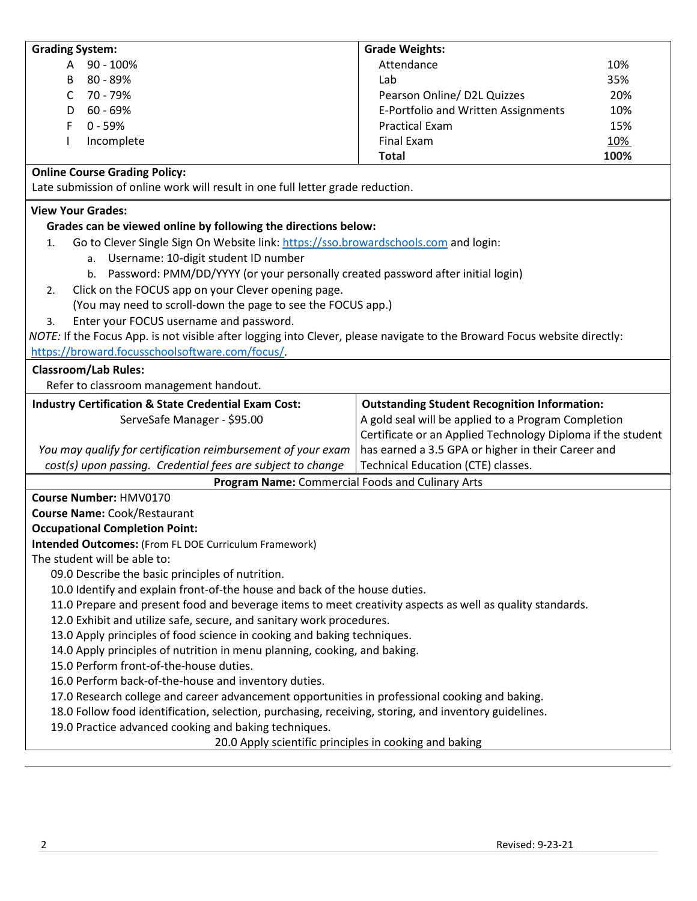| <b>Grading System:</b>                                                                                                   | <b>Grade Weights:</b>                                       |            |
|--------------------------------------------------------------------------------------------------------------------------|-------------------------------------------------------------|------------|
| 90 - 100%<br>A                                                                                                           | Attendance                                                  | 10%        |
| 80 - 89%<br>B                                                                                                            | Lab                                                         | 35%        |
| 70 - 79%<br>C                                                                                                            | Pearson Online/ D2L Quizzes                                 | 20%        |
| $60 - 69%$<br>D                                                                                                          | E-Portfolio and Written Assignments                         | 10%        |
| F<br>$0 - 59%$                                                                                                           | <b>Practical Exam</b>                                       | 15%        |
| Incomplete                                                                                                               | <b>Final Exam</b>                                           | <u>10%</u> |
|                                                                                                                          | <b>Total</b>                                                | 100%       |
| <b>Online Course Grading Policy:</b>                                                                                     |                                                             |            |
| Late submission of online work will result in one full letter grade reduction.                                           |                                                             |            |
| <b>View Your Grades:</b>                                                                                                 |                                                             |            |
| Grades can be viewed online by following the directions below:                                                           |                                                             |            |
| Go to Clever Single Sign On Website link: https://sso.browardschools.com and login:<br>1.                                |                                                             |            |
| a. Username: 10-digit student ID number                                                                                  |                                                             |            |
| b. Password: PMM/DD/YYYY (or your personally created password after initial login)                                       |                                                             |            |
| Click on the FOCUS app on your Clever opening page.<br>2.                                                                |                                                             |            |
| (You may need to scroll-down the page to see the FOCUS app.)                                                             |                                                             |            |
| Enter your FOCUS username and password.<br>3.                                                                            |                                                             |            |
| NOTE: If the Focus App. is not visible after logging into Clever, please navigate to the Broward Focus website directly: |                                                             |            |
| https://broward.focusschoolsoftware.com/focus/                                                                           |                                                             |            |
| <b>Classroom/Lab Rules:</b>                                                                                              |                                                             |            |
| Refer to classroom management handout.                                                                                   |                                                             |            |
|                                                                                                                          |                                                             |            |
| <b>Industry Certification &amp; State Credential Exam Cost:</b>                                                          | <b>Outstanding Student Recognition Information:</b>         |            |
| ServeSafe Manager - \$95.00                                                                                              | A gold seal will be applied to a Program Completion         |            |
|                                                                                                                          | Certificate or an Applied Technology Diploma if the student |            |
| You may qualify for certification reimbursement of your exam                                                             | has earned a 3.5 GPA or higher in their Career and          |            |
| cost(s) upon passing. Credential fees are subject to change                                                              | Technical Education (CTE) classes.                          |            |
| Program Name: Commercial Foods and Culinary Arts                                                                         |                                                             |            |
| Course Number: HMV0170                                                                                                   |                                                             |            |
| <b>Course Name: Cook/Restaurant</b>                                                                                      |                                                             |            |
| <b>Occupational Completion Point:</b>                                                                                    |                                                             |            |
| Intended Outcomes: (From FL DOE Curriculum Framework)                                                                    |                                                             |            |
| The student will be able to:                                                                                             |                                                             |            |
| 09.0 Describe the basic principles of nutrition.                                                                         |                                                             |            |
| 10.0 Identify and explain front-of-the house and back of the house duties.                                               |                                                             |            |
| 11.0 Prepare and present food and beverage items to meet creativity aspects as well as quality standards.                |                                                             |            |
| 12.0 Exhibit and utilize safe, secure, and sanitary work procedures.                                                     |                                                             |            |
| 13.0 Apply principles of food science in cooking and baking techniques.                                                  |                                                             |            |
| 14.0 Apply principles of nutrition in menu planning, cooking, and baking.                                                |                                                             |            |
| 15.0 Perform front-of-the-house duties.                                                                                  |                                                             |            |
| 16.0 Perform back-of-the-house and inventory duties.                                                                     |                                                             |            |
| 17.0 Research college and career advancement opportunities in professional cooking and baking.                           |                                                             |            |
| 18.0 Follow food identification, selection, purchasing, receiving, storing, and inventory guidelines.                    |                                                             |            |
| 19.0 Practice advanced cooking and baking techniques.                                                                    |                                                             |            |
| 20.0 Apply scientific principles in cooking and baking                                                                   |                                                             |            |
|                                                                                                                          |                                                             |            |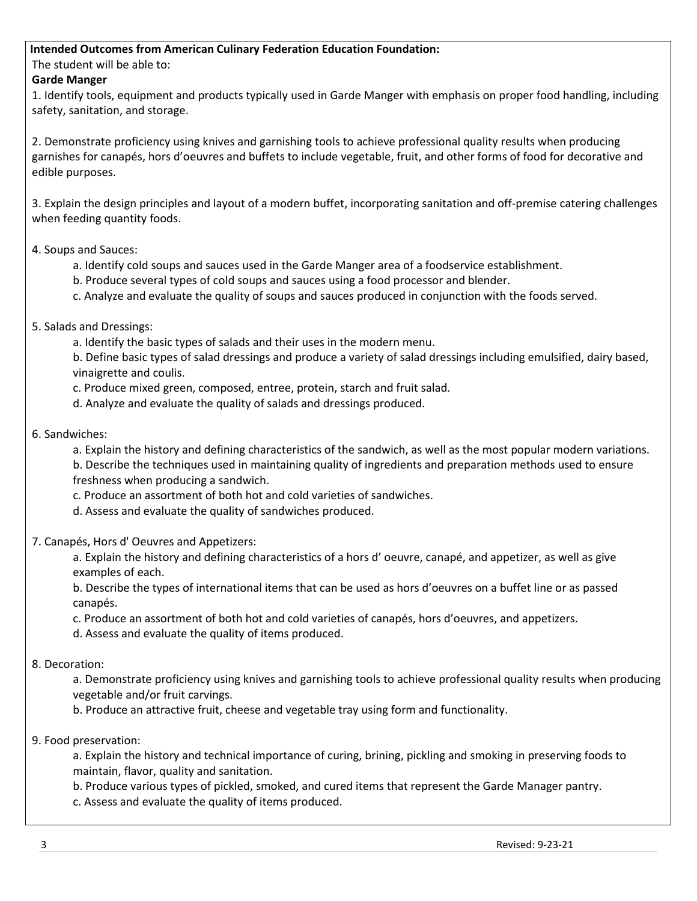# **Intended Outcomes from American Culinary Federation Education Foundation:**

The student will be able to:

# **Garde Manger**

1. Identify tools, equipment and products typically used in Garde Manger with emphasis on proper food handling, including safety, sanitation, and storage.

2. Demonstrate proficiency using knives and garnishing tools to achieve professional quality results when producing garnishes for canapés, hors d'oeuvres and buffets to include vegetable, fruit, and other forms of food for decorative and edible purposes.

3. Explain the design principles and layout of a modern buffet, incorporating sanitation and off-premise catering challenges when feeding quantity foods.

4. Soups and Sauces:

- a. Identify cold soups and sauces used in the Garde Manger area of a foodservice establishment.
- b. Produce several types of cold soups and sauces using a food processor and blender.
- c. Analyze and evaluate the quality of soups and sauces produced in conjunction with the foods served.
- 5. Salads and Dressings:

a. Identify the basic types of salads and their uses in the modern menu.

b. Define basic types of salad dressings and produce a variety of salad dressings including emulsified, dairy based, vinaigrette and coulis.

c. Produce mixed green, composed, entree, protein, starch and fruit salad.

d. Analyze and evaluate the quality of salads and dressings produced.

6. Sandwiches:

a. Explain the history and defining characteristics of the sandwich, as well as the most popular modern variations. b. Describe the techniques used in maintaining quality of ingredients and preparation methods used to ensure freshness when producing a sandwich.

c. Produce an assortment of both hot and cold varieties of sandwiches.

d. Assess and evaluate the quality of sandwiches produced.

7. Canapés, Hors d' Oeuvres and Appetizers:

a. Explain the history and defining characteristics of a hors d' oeuvre, canapé, and appetizer, as well as give examples of each.

b. Describe the types of international items that can be used as hors d'oeuvres on a buffet line or as passed canapés.

c. Produce an assortment of both hot and cold varieties of canapés, hors d'oeuvres, and appetizers.

d. Assess and evaluate the quality of items produced.

# 8. Decoration:

a. Demonstrate proficiency using knives and garnishing tools to achieve professional quality results when producing vegetable and/or fruit carvings.

b. Produce an attractive fruit, cheese and vegetable tray using form and functionality.

9. Food preservation:

a. Explain the history and technical importance of curing, brining, pickling and smoking in preserving foods to maintain, flavor, quality and sanitation.

b. Produce various types of pickled, smoked, and cured items that represent the Garde Manager pantry.

c. Assess and evaluate the quality of items produced.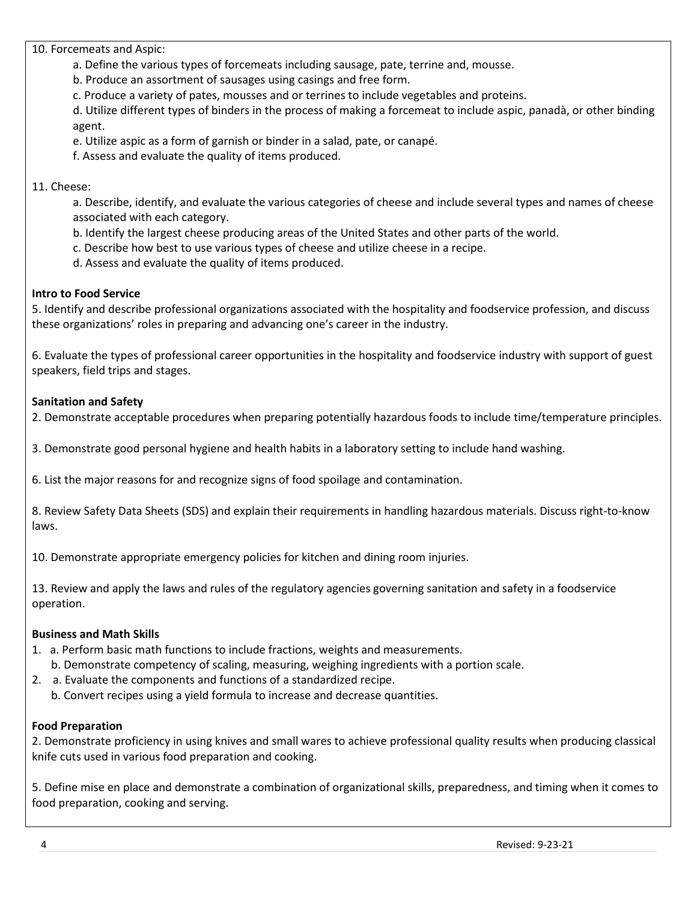10. Forcemeats and Aspic:

a. Define the various types of forcemeats including sausage, pate, terrine and, mousse.

b. Produce an assortment of sausages using casings and free form.

c. Produce a variety of pates, mousses and or terrines to include vegetables and proteins.

d. Utilize different types of binders in the process of making a forcemeat to include aspic, panadà, or other binding agent.

e. Utilize aspic as a form of garnish or binder in a salad, pate, or canapé.

f. Assess and evaluate the quality of items produced.

# 11. Cheese:

a. Describe, identify, and evaluate the various categories of cheese and include several types and names of cheese associated with each category.

- b. Identify the largest cheese producing areas of the United States and other parts of the world.
- c. Describe how best to use various types of cheese and utilize cheese in a recipe.
- d. Assess and evaluate the quality of items produced.

# **Intro to Food Service**

5. Identify and describe professional organizations associated with the hospitality and foodservice profession, and discuss these organizations' roles in preparing and advancing one's career in the industry.

6. Evaluate the types of professional career opportunities in the hospitality and foodservice industry with support of guest speakers, field trips and stages.

# **Sanitation and Safety**

2. Demonstrate acceptable procedures when preparing potentially hazardous foods to include time/temperature principles.

3. Demonstrate good personal hygiene and health habits in a laboratory setting to include hand washing.

6. List the major reasons for and recognize signs of food spoilage and contamination.

8. Review Safety Data Sheets (SDS) and explain their requirements in handling hazardous materials. Discuss right-to-know laws.

10. Demonstrate appropriate emergency policies for kitchen and dining room injuries.

13. Review and apply the laws and rules of the regulatory agencies governing sanitation and safety in a foodservice operation.

#### **Business and Math Skills**

1. a. Perform basic math functions to include fractions, weights and measurements.

- b. Demonstrate competency of scaling, measuring, weighing ingredients with a portion scale.
- 2. a. Evaluate the components and functions of a standardized recipe.
	- b. Convert recipes using a yield formula to increase and decrease quantities.

#### **Food Preparation**

2. Demonstrate proficiency in using knives and small wares to achieve professional quality results when producing classical knife cuts used in various food preparation and cooking.

5. Define mise en place and demonstrate a combination of organizational skills, preparedness, and timing when it comes to food preparation, cooking and serving.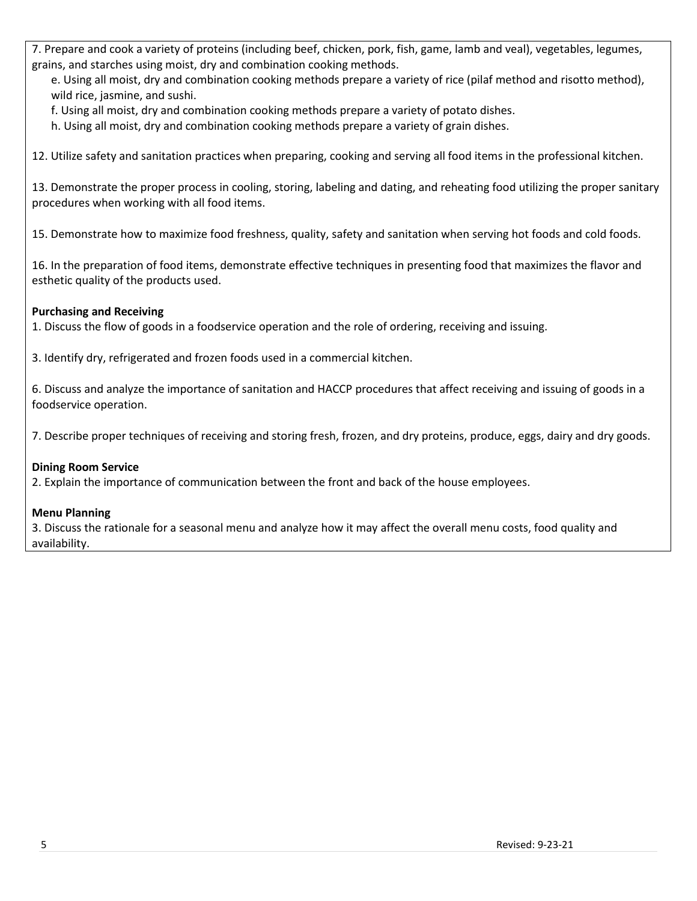7. Prepare and cook a variety of proteins (including beef, chicken, pork, fish, game, lamb and veal), vegetables, legumes, grains, and starches using moist, dry and combination cooking methods.

e. Using all moist, dry and combination cooking methods prepare a variety of rice (pilaf method and risotto method), wild rice, jasmine, and sushi.

f. Using all moist, dry and combination cooking methods prepare a variety of potato dishes.

h. Using all moist, dry and combination cooking methods prepare a variety of grain dishes.

12. Utilize safety and sanitation practices when preparing, cooking and serving all food items in the professional kitchen.

13. Demonstrate the proper process in cooling, storing, labeling and dating, and reheating food utilizing the proper sanitary procedures when working with all food items.

15. Demonstrate how to maximize food freshness, quality, safety and sanitation when serving hot foods and cold foods.

16. In the preparation of food items, demonstrate effective techniques in presenting food that maximizes the flavor and esthetic quality of the products used.

# **Purchasing and Receiving**

1. Discuss the flow of goods in a foodservice operation and the role of ordering, receiving and issuing.

3. Identify dry, refrigerated and frozen foods used in a commercial kitchen.

6. Discuss and analyze the importance of sanitation and HACCP procedures that affect receiving and issuing of goods in a foodservice operation.

7. Describe proper techniques of receiving and storing fresh, frozen, and dry proteins, produce, eggs, dairy and dry goods.

#### **Dining Room Service**

2. Explain the importance of communication between the front and back of the house employees.

#### **Menu Planning**

3. Discuss the rationale for a seasonal menu and analyze how it may affect the overall menu costs, food quality and availability.